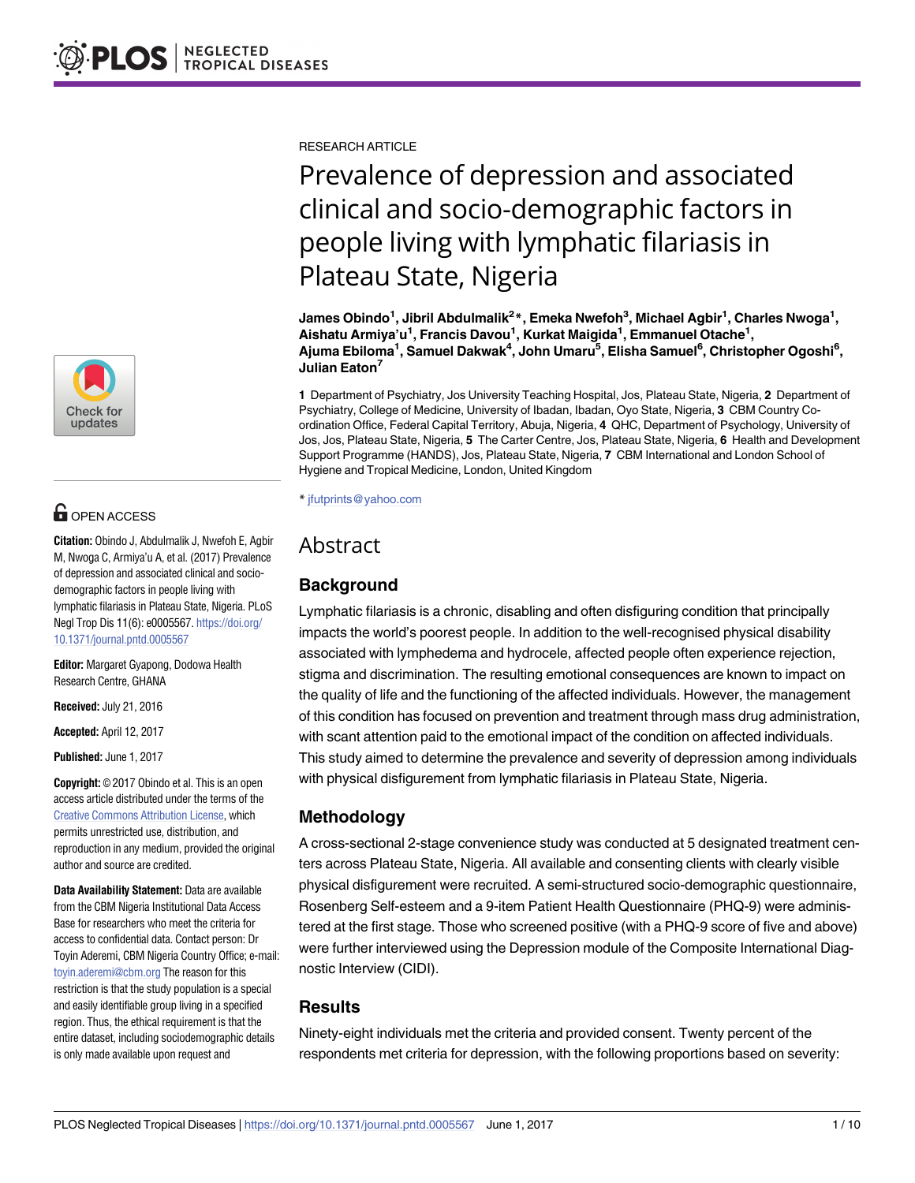

# **OPEN ACCESS**

**Citation:** Obindo J, Abdulmalik J, Nwefoh E, Agbir M, Nwoga C, Armiya'u A, et al. (2017) Prevalence of depression and associated clinical and sociodemographic factors in people living with lymphatic filariasis in Plateau State, Nigeria. PLoS Negl Trop Dis 11(6): e0005567. [https://doi.org/](https://doi.org/10.1371/journal.pntd.0005567) [10.1371/journal.pntd.0005567](https://doi.org/10.1371/journal.pntd.0005567)

**Editor:** Margaret Gyapong, Dodowa Health Research Centre, GHANA

**Received:** July 21, 2016

**Accepted:** April 12, 2017

**Published:** June 1, 2017

**Copyright:** © 2017 Obindo et al. This is an open access article distributed under the terms of the Creative Commons [Attribution](http://creativecommons.org/licenses/by/4.0/) License, which permits unrestricted use, distribution, and reproduction in any medium, provided the original author and source are credited.

**Data Availability Statement:** Data are available from the CBM Nigeria Institutional Data Access Base for researchers who meet the criteria for access to confidential data. Contact person: Dr Toyin Aderemi, CBM Nigeria Country Office; e-mail: [toyin.aderemi@cbm.org](mailto:toyin.aderemi@cbm.org) The reason for this restriction is that the study population is a special and easily identifiable group living in a specified region. Thus, the ethical requirement is that the entire dataset, including sociodemographic details is only made available upon request and

RESEARCH ARTICLE

# Prevalence of depression and associated clinical and socio-demographic factors in people living with lymphatic filariasis in Plateau State, Nigeria

**James Obindo1 , Jibril Abdulmalik2 \*, Emeka Nwefoh3 , Michael Agbir1 , Charles Nwoga1 , Aishatu Armiya'u1 , Francis Davou1 , Kurkat Maigida1 , Emmanuel Otache1 ,**  $\mathsf{A}$ juma Ebiloma<sup>1</sup>, Samuel Dakwak<sup>4</sup>, John Umaru<sup>5</sup>, Elisha Samuel<sup>6</sup>, Christopher Ogoshi<sup>6</sup>, **Julian Eaton7**

**1** Department of Psychiatry, Jos University Teaching Hospital, Jos, Plateau State, Nigeria, **2** Department of Psychiatry, College of Medicine, University of Ibadan, Ibadan, Oyo State, Nigeria, **3** CBM Country Coordination Office, Federal Capital Territory, Abuja, Nigeria, **4** QHC, Department of Psychology, University of Jos, Jos, Plateau State, Nigeria, **5** The Carter Centre, Jos, Plateau State, Nigeria, **6** Health and Development Support Programme (HANDS), Jos, Plateau State, Nigeria, **7** CBM International and London School of Hygiene and Tropical Medicine, London, United Kingdom

\* jfutprints@yahoo.com

# Abstract

# **Background**

Lymphatic filariasis is a chronic, disabling and often disfiguring condition that principally impacts the world's poorest people. In addition to the well-recognised physical disability associated with lymphedema and hydrocele, affected people often experience rejection, stigma and discrimination. The resulting emotional consequences are known to impact on the quality of life and the functioning of the affected individuals. However, the management of this condition has focused on prevention and treatment through mass drug administration, with scant attention paid to the emotional impact of the condition on affected individuals. This study aimed to determine the prevalence and severity of depression among individuals with physical disfigurement from lymphatic filariasis in Plateau State, Nigeria.

# **Methodology**

A cross-sectional 2-stage convenience study was conducted at 5 designated treatment centers across Plateau State, Nigeria. All available and consenting clients with clearly visible physical disfigurement were recruited. A semi-structured socio-demographic questionnaire, Rosenberg Self-esteem and a 9-item Patient Health Questionnaire (PHQ-9) were administered at the first stage. Those who screened positive (with a PHQ-9 score of five and above) were further interviewed using the Depression module of the Composite International Diagnostic Interview (CIDI).

# **Results**

Ninety-eight individuals met the criteria and provided consent. Twenty percent of the respondents met criteria for depression, with the following proportions based on severity: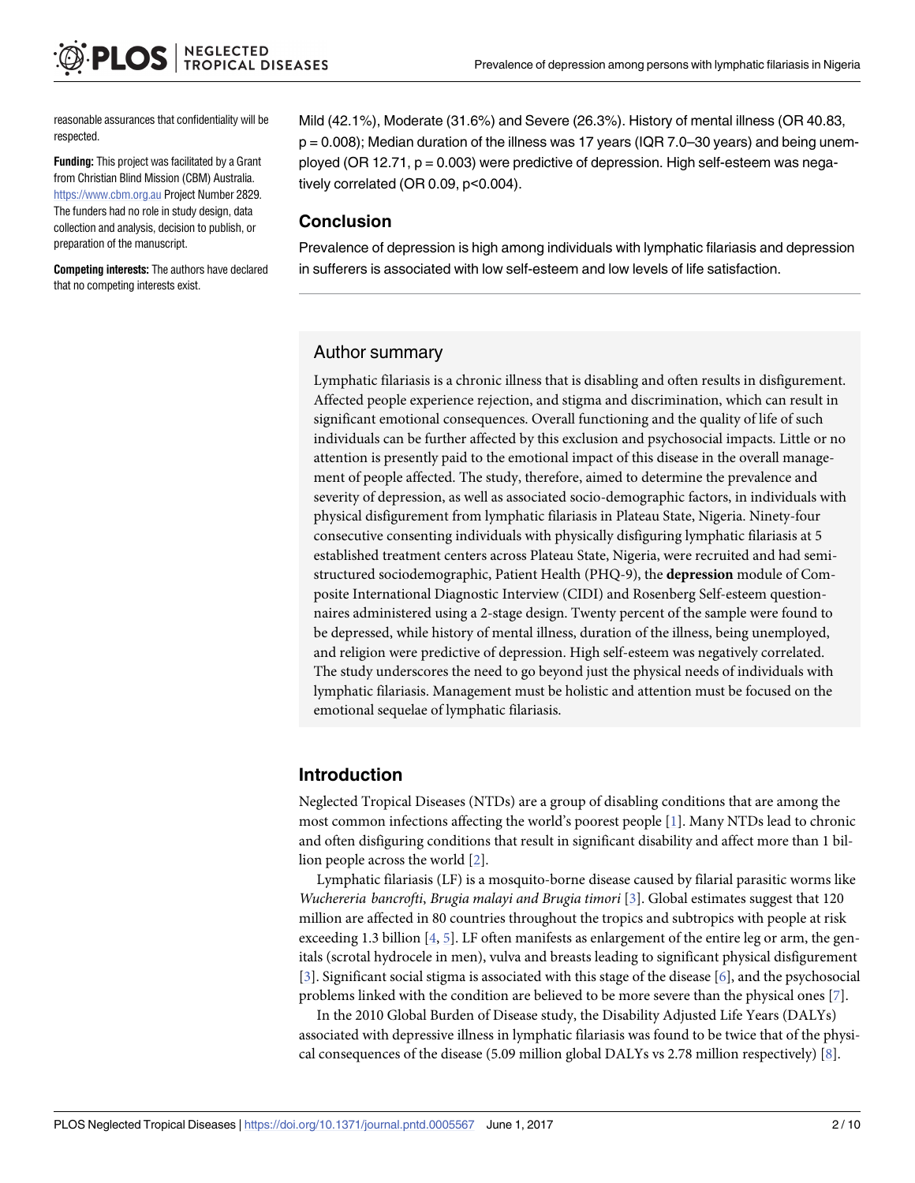<span id="page-1-0"></span>reasonable assurances that confidentiality will be respected.

**Funding:** This project was facilitated by a Grant from Christian Blind Mission (CBM) Australia. <https://www.cbm.org.au> Project Number 2829. The funders had no role in study design, data collection and analysis, decision to publish, or preparation of the manuscript.

**Competing interests:** The authors have declared that no competing interests exist.

Mild (42.1%), Moderate (31.6%) and Severe (26.3%). History of mental illness (OR 40.83, p = 0.008); Median duration of the illness was 17 years (IQR 7.0–30 years) and being unemployed (OR 12.71, p = 0.003) were predictive of depression. High self-esteem was negatively correlated (OR 0.09, p<0.004).

## **Conclusion**

Prevalence of depression is high among individuals with lymphatic filariasis and depression in sufferers is associated with low self-esteem and low levels of life satisfaction.

### Author summary

Lymphatic filariasis is a chronic illness that is disabling and often results in disfigurement. Affected people experience rejection, and stigma and discrimination, which can result in significant emotional consequences. Overall functioning and the quality of life of such individuals can be further affected by this exclusion and psychosocial impacts. Little or no attention is presently paid to the emotional impact of this disease in the overall management of people affected. The study, therefore, aimed to determine the prevalence and severity of depression, as well as associated socio-demographic factors, in individuals with physical disfigurement from lymphatic filariasis in Plateau State, Nigeria. Ninety-four consecutive consenting individuals with physically disfiguring lymphatic filariasis at 5 established treatment centers across Plateau State, Nigeria, were recruited and had semistructured sociodemographic, Patient Health (PHQ-9), the **depression** module of Composite International Diagnostic Interview (CIDI) and Rosenberg Self-esteem questionnaires administered using a 2-stage design. Twenty percent of the sample were found to be depressed, while history of mental illness, duration of the illness, being unemployed, and religion were predictive of depression. High self-esteem was negatively correlated. The study underscores the need to go beyond just the physical needs of individuals with lymphatic filariasis. Management must be holistic and attention must be focused on the emotional sequelae of lymphatic filariasis.

## **Introduction**

Neglected Tropical Diseases (NTDs) are a group of disabling conditions that are among the most common infections affecting the world's poorest people [[1](#page-8-0)]. Many NTDs lead to chronic and often disfiguring conditions that result in significant disability and affect more than 1 billion people across the world [[2\]](#page-8-0).

Lymphatic filariasis (LF) is a mosquito-borne disease caused by filarial parasitic worms like *Wuchereria bancrofti*, *Brugia malayi and Brugia timori* [\[3\]](#page-8-0). Global estimates suggest that 120 million are affected in 80 countries throughout the tropics and subtropics with people at risk exceeding 1.3 billion  $[4, 5]$  $[4, 5]$  $[4, 5]$  $[4, 5]$ . LF often manifests as enlargement of the entire leg or arm, the genitals (scrotal hydrocele in men), vulva and breasts leading to significant physical disfigurement [\[3](#page-8-0)]. Significant social stigma is associated with this stage of the disease [\[6](#page-9-0)], and the psychosocial problems linked with the condition are believed to be more severe than the physical ones [[7](#page-9-0)].

In the 2010 Global Burden of Disease study, the Disability Adjusted Life Years (DALYs) associated with depressive illness in lymphatic filariasis was found to be twice that of the physical consequences of the disease (5.09 million global DALYs vs 2.78 million respectively) [\[8](#page-9-0)].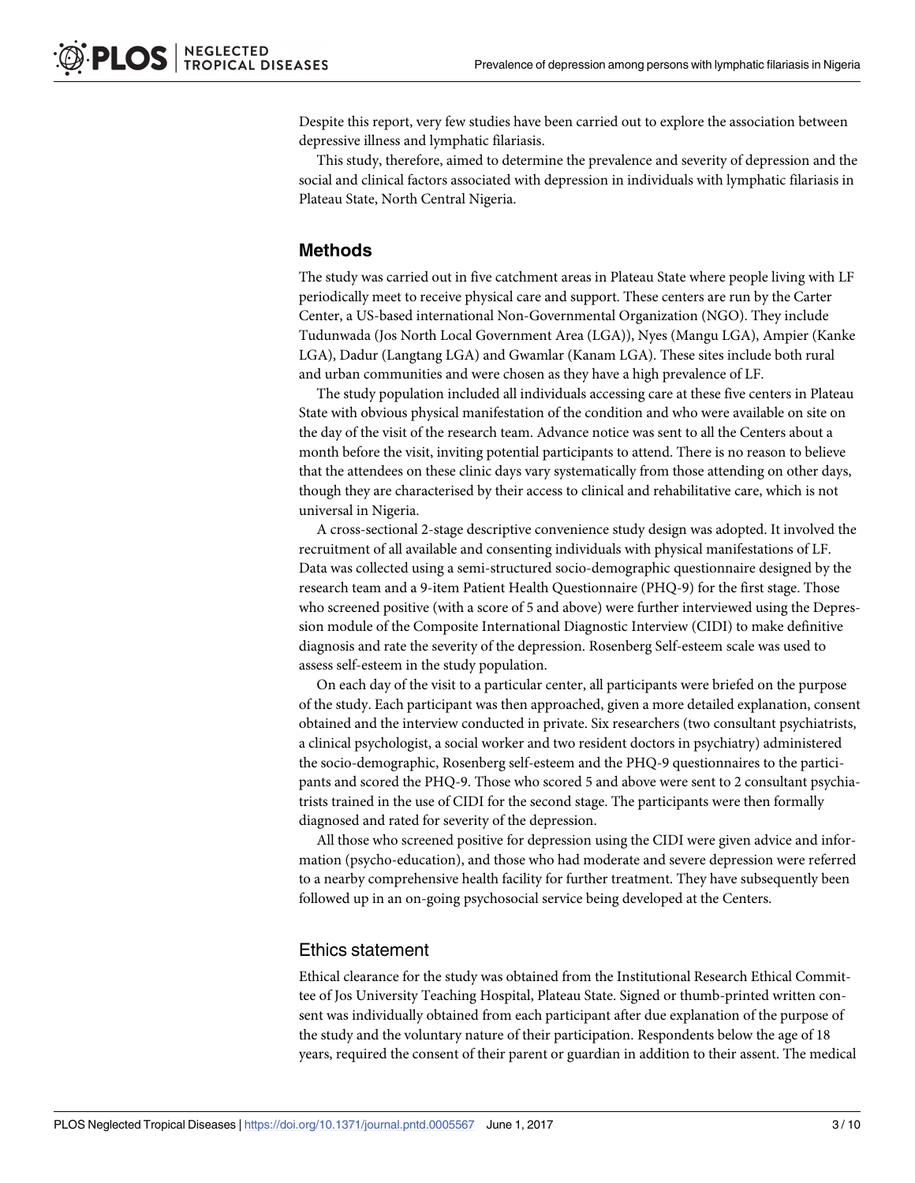Despite this report, very few studies have been carried out to explore the association between depressive illness and lymphatic filariasis.

This study, therefore, aimed to determine the prevalence and severity of depression and the social and clinical factors associated with depression in individuals with lymphatic filariasis in Plateau State, North Central Nigeria.

#### **Methods**

The study was carried out in five catchment areas in Plateau State where people living with LF periodically meet to receive physical care and support. These centers are run by the Carter Center, a US-based international Non-Governmental Organization (NGO). They include Tudunwada (Jos North Local Government Area (LGA)), Nyes (Mangu LGA), Ampier (Kanke LGA), Dadur (Langtang LGA) and Gwamlar (Kanam LGA). These sites include both rural and urban communities and were chosen as they have a high prevalence of LF.

The study population included all individuals accessing care at these five centers in Plateau State with obvious physical manifestation of the condition and who were available on site on the day of the visit of the research team. Advance notice was sent to all the Centers about a month before the visit, inviting potential participants to attend. There is no reason to believe that the attendees on these clinic days vary systematically from those attending on other days, though they are characterised by their access to clinical and rehabilitative care, which is not universal in Nigeria.

A cross-sectional 2-stage descriptive convenience study design was adopted. It involved the recruitment of all available and consenting individuals with physical manifestations of LF. Data was collected using a semi-structured socio-demographic questionnaire designed by the research team and a 9-item Patient Health Questionnaire (PHQ-9) for the first stage. Those who screened positive (with a score of 5 and above) were further interviewed using the Depression module of the Composite International Diagnostic Interview (CIDI) to make definitive diagnosis and rate the severity of the depression. Rosenberg Self-esteem scale was used to assess self-esteem in the study population.

On each day of the visit to a particular center, all participants were briefed on the purpose of the study. Each participant was then approached, given a more detailed explanation, consent obtained and the interview conducted in private. Six researchers (two consultant psychiatrists, a clinical psychologist, a social worker and two resident doctors in psychiatry) administered the socio-demographic, Rosenberg self-esteem and the PHQ-9 questionnaires to the participants and scored the PHQ-9. Those who scored 5 and above were sent to 2 consultant psychiatrists trained in the use of CIDI for the second stage. The participants were then formally diagnosed and rated for severity of the depression.

All those who screened positive for depression using the CIDI were given advice and information (psycho-education), and those who had moderate and severe depression were referred to a nearby comprehensive health facility for further treatment. They have subsequently been followed up in an on-going psychosocial service being developed at the Centers.

#### Ethics statement

Ethical clearance for the study was obtained from the Institutional Research Ethical Committee of Jos University Teaching Hospital, Plateau State. Signed or thumb-printed written consent was individually obtained from each participant after due explanation of the purpose of the study and the voluntary nature of their participation. Respondents below the age of 18 years, required the consent of their parent or guardian in addition to their assent. The medical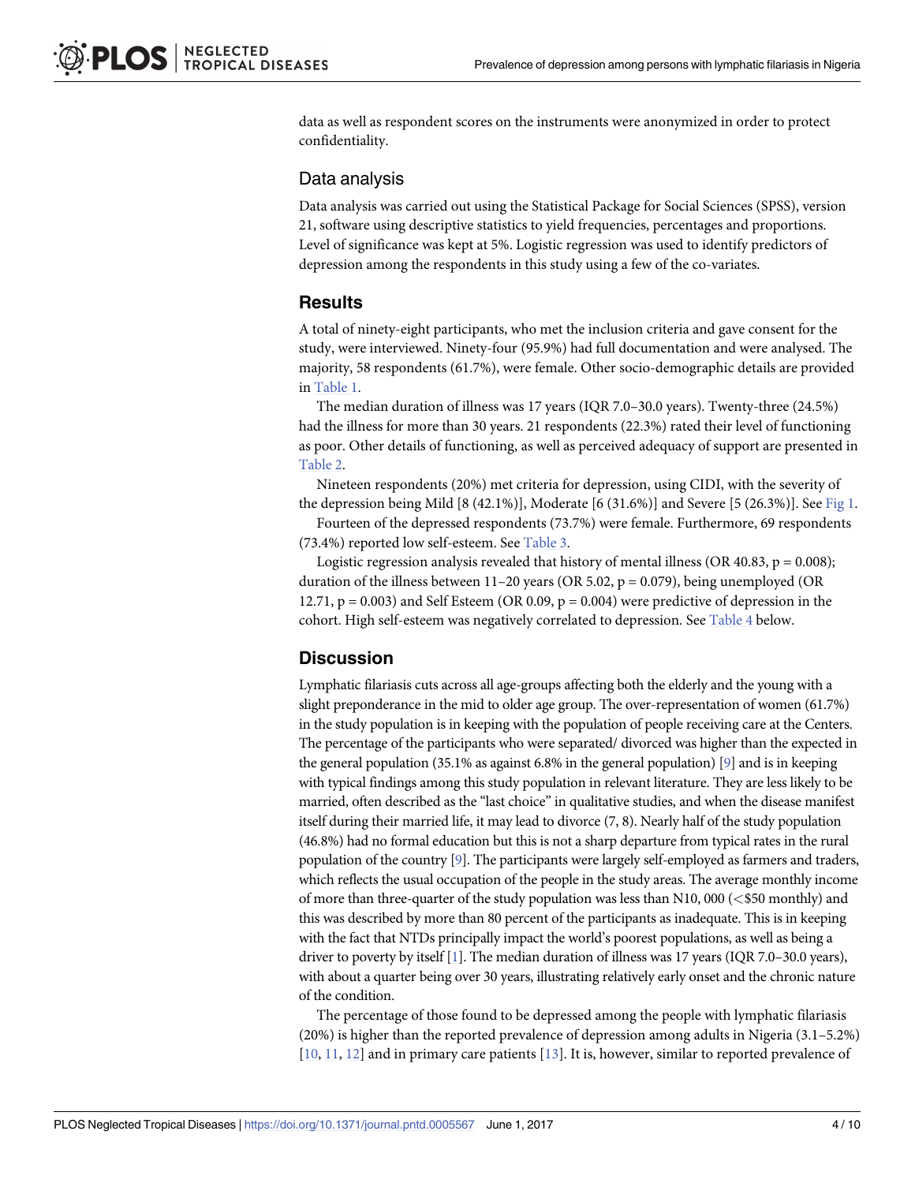<span id="page-3-0"></span>data as well as respondent scores on the instruments were anonymized in order to protect confidentiality.

# Data analysis

Data analysis was carried out using the Statistical Package for Social Sciences (SPSS), version 21, software using descriptive statistics to yield frequencies, percentages and proportions. Level of significance was kept at 5%. Logistic regression was used to identify predictors of depression among the respondents in this study using a few of the co-variates.

# **Results**

A total of ninety-eight participants, who met the inclusion criteria and gave consent for the study, were interviewed. Ninety-four (95.9%) had full documentation and were analysed. The majority, 58 respondents (61.7%), were female. Other socio-demographic details are provided in [Table](#page-4-0) 1.

The median duration of illness was 17 years (IQR 7.0–30.0 years). Twenty-three (24.5%) had the illness for more than 30 years. 21 respondents (22.3%) rated their level of functioning as poor. Other details of functioning, as well as perceived adequacy of support are presented in [Table](#page-5-0) 2.

Nineteen respondents (20%) met criteria for depression, using CIDI, with the severity of the depression being Mild [8 (42.1%)], Moderate [6 (31.6%)] and Severe [5 (26.3%)]. See [Fig](#page-6-0) 1.

Fourteen of the depressed respondents (73.7%) were female. Furthermore, 69 respondents (73.4%) reported low self-esteem. See [Table](#page-6-0) 3.

Logistic regression analysis revealed that history of mental illness (OR 40.83,  $p = 0.008$ ); duration of the illness between 11–20 years (OR 5.02,  $p = 0.079$ ), being unemployed (OR 12.71,  $p = 0.003$  and Self Esteem (OR 0.09,  $p = 0.004$ ) were predictive of depression in the cohort. High self-esteem was negatively correlated to depression. See [Table](#page-7-0) 4 below.

# **Discussion**

Lymphatic filariasis cuts across all age-groups affecting both the elderly and the young with a slight preponderance in the mid to older age group. The over-representation of women (61.7%) in the study population is in keeping with the population of people receiving care at the Centers. The percentage of the participants who were separated/ divorced was higher than the expected in the general population (35.1% as against 6.8% in the general population) [\[9](#page-9-0)] and is in keeping with typical findings among this study population in relevant literature. They are less likely to be married, often described as the "last choice" in qualitative studies, and when the disease manifest itself during their married life, it may lead to divorce (7, 8). Nearly half of the study population (46.8%) had no formal education but this is not a sharp departure from typical rates in the rural population of the country [[9](#page-9-0)]. The participants were largely self-employed as farmers and traders, which reflects the usual occupation of the people in the study areas. The average monthly income of more than three-quarter of the study population was less than N10, 000 (*<*\$50 monthly) and this was described by more than 80 percent of the participants as inadequate. This is in keeping with the fact that NTDs principally impact the world's poorest populations, as well as being a driver to poverty by itself [\[1\]](#page-8-0). The median duration of illness was 17 years (IQR 7.0–30.0 years), with about a quarter being over 30 years, illustrating relatively early onset and the chronic nature of the condition.

The percentage of those found to be depressed among the people with lymphatic filariasis (20%) is higher than the reported prevalence of depression among adults in Nigeria (3.1–5.2%) [\[10,](#page-9-0) [11,](#page-9-0) [12\]](#page-9-0) and in primary care patients [\[13\]](#page-9-0). It is, however, similar to reported prevalence of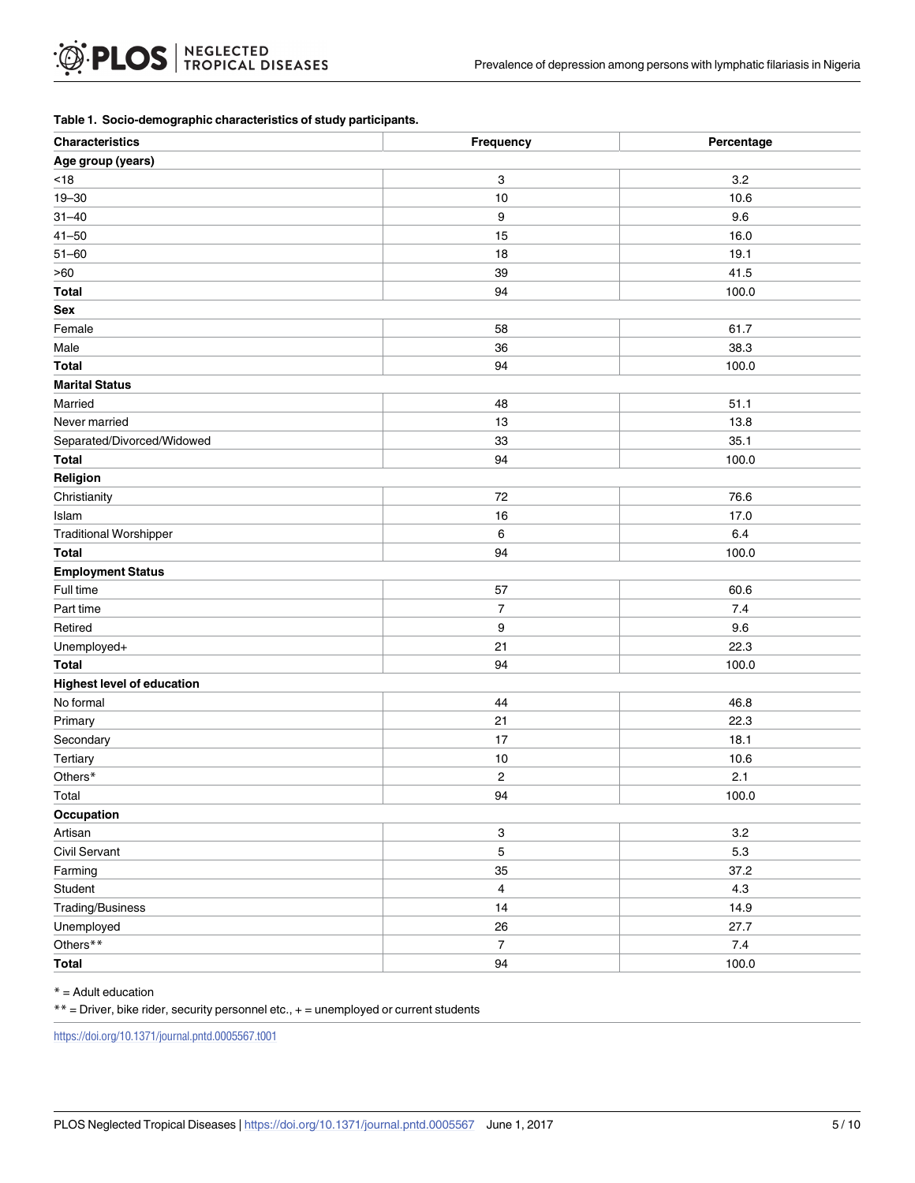#### <span id="page-4-0"></span>**[Table](#page-3-0) 1. Socio-demographic characteristics of study participants.**

| <b>Characteristics</b>            | Frequency               | Percentage |
|-----------------------------------|-------------------------|------------|
| Age group (years)                 |                         |            |
| $<18$                             | 3                       | 3.2        |
| $19 - 30$                         | 10                      | 10.6       |
| $31 - 40$                         | 9                       | 9.6        |
| $41 - 50$                         | 15                      | 16.0       |
| $51 - 60$                         | 18                      | 19.1       |
| >60                               | 39                      | 41.5       |
| <b>Total</b>                      | 94                      | 100.0      |
| Sex                               |                         |            |
| Female                            | 58                      | 61.7       |
| Male                              | 36                      | 38.3       |
| <b>Total</b>                      | 94                      | 100.0      |
| <b>Marital Status</b>             |                         |            |
| Married                           | 48                      | 51.1       |
| Never married                     | 13                      | 13.8       |
| Separated/Divorced/Widowed        | 33                      | 35.1       |
| <b>Total</b>                      | 94                      | 100.0      |
| Religion                          |                         |            |
| Christianity                      | 72                      | 76.6       |
| Islam                             | 16                      | 17.0       |
| <b>Traditional Worshipper</b>     | 6                       | 6.4        |
| <b>Total</b>                      | 94                      | 100.0      |
| <b>Employment Status</b>          |                         |            |
| Full time                         | 57                      | 60.6       |
| Part time                         | $\overline{7}$          | 7.4        |
| Retired                           | 9                       | 9.6        |
| Unemployed+                       | 21                      | 22.3       |
| <b>Total</b>                      | 94                      | 100.0      |
| <b>Highest level of education</b> |                         |            |
| No formal                         | 44                      | 46.8       |
| Primary                           | 21                      | 22.3       |
| Secondary                         | 17                      | 18.1       |
| Tertiary                          | 10                      | 10.6       |
| Others*                           | $\overline{\mathbf{c}}$ | 2.1        |
| Total                             | 94                      | 100.0      |
| Occupation                        |                         |            |
| Artisan                           | 3                       | $3.2\,$    |
| Civil Servant                     | $\mathbf 5$             | $5.3\,$    |
| Farming                           | 35                      | 37.2       |
| Student                           | $\overline{4}$          | $4.3$      |
| Trading/Business                  | 14                      | 14.9       |
| Unemployed                        | 26                      | 27.7       |
| Others**                          | $\overline{7}$          | $7.4$      |
| Total                             | 94                      | 100.0      |

\* = Adult education

 $**$  = Driver, bike rider, security personnel etc.,  $+=$  unemployed or current students

<https://doi.org/10.1371/journal.pntd.0005567.t001>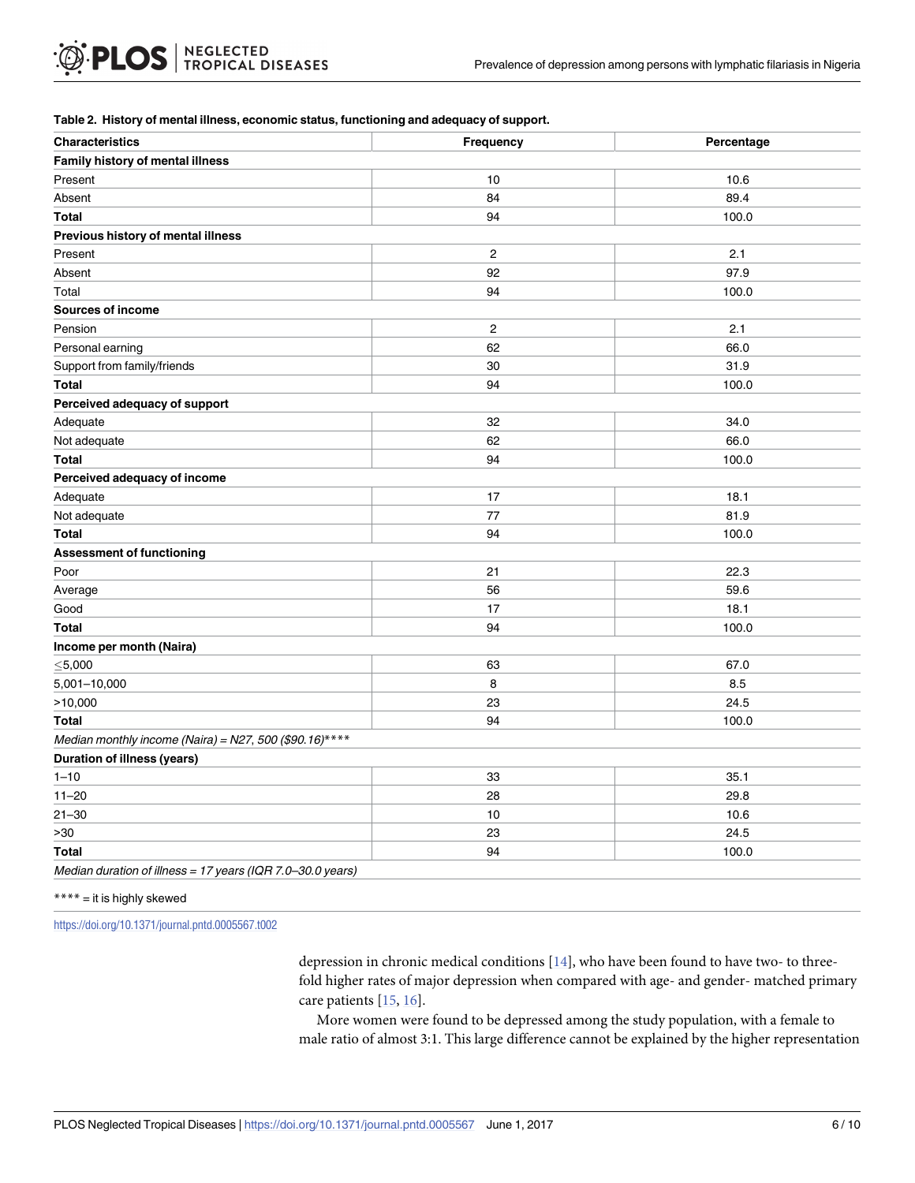#### <span id="page-5-0"></span>**[Table](#page-3-0) 2. History of mental illness, economic status, functioning and adequacy of support.**

| <b>Characteristics</b>                                     | Frequency               | Percentage |
|------------------------------------------------------------|-------------------------|------------|
| Family history of mental illness                           |                         |            |
| Present                                                    | 10                      | 10.6       |
| Absent                                                     | 84                      | 89.4       |
| <b>Total</b>                                               | 94                      | 100.0      |
| Previous history of mental illness                         |                         |            |
| Present                                                    | $\overline{c}$          | 2.1        |
| Absent                                                     | 92                      | 97.9       |
| Total                                                      | 94                      | 100.0      |
| <b>Sources of income</b>                                   |                         |            |
| Pension                                                    | $\overline{\mathbf{c}}$ | 2.1        |
| Personal earning                                           | 62                      | 66.0       |
| Support from family/friends                                | 30                      | 31.9       |
| <b>Total</b>                                               | 94                      | 100.0      |
| Perceived adequacy of support                              |                         |            |
| Adequate                                                   | 32                      | 34.0       |
| Not adequate                                               | 62                      | 66.0       |
| <b>Total</b>                                               | 94                      | 100.0      |
| Perceived adequacy of income                               |                         |            |
| Adequate                                                   | 17                      | 18.1       |
| Not adequate                                               | 77                      | 81.9       |
| <b>Total</b>                                               | 94                      | 100.0      |
| <b>Assessment of functioning</b>                           |                         |            |
| Poor                                                       | 21                      | 22.3       |
| Average                                                    | 56                      | 59.6       |
| Good                                                       | 17                      | 18.1       |
| <b>Total</b>                                               | 94                      | 100.0      |
| Income per month (Naira)                                   |                         |            |
| $\leq$ 5,000                                               | 63                      | 67.0       |
| 5,001-10,000                                               | 8                       | 8.5        |
| >10,000                                                    | 23                      | 24.5       |
| <b>Total</b>                                               | 94                      | 100.0      |
| Median monthly income (Naira) = N27, 500 (\$90.16)****     |                         |            |
| <b>Duration of illness (years)</b>                         |                         |            |
| $1 - 10$                                                   | 33                      | 35.1       |
| $11 - 20$                                                  | 28                      | 29.8       |
| $21 - 30$                                                  | 10                      | 10.6       |
| >30                                                        | 23                      | 24.5       |
| <b>Total</b>                                               | 94                      | 100.0      |
| Median duration of illness = 17 years (IQR 7.0-30.0 years) |                         |            |

#### \*\*\*\* = it is highly skewed

<https://doi.org/10.1371/journal.pntd.0005567.t002>

depression in chronic medical conditions  $[14]$ , who have been found to have two- to threefold higher rates of major depression when compared with age- and gender- matched primary care patients [[15](#page-9-0), [16](#page-9-0)].

More women were found to be depressed among the study population, with a female to male ratio of almost 3:1. This large difference cannot be explained by the higher representation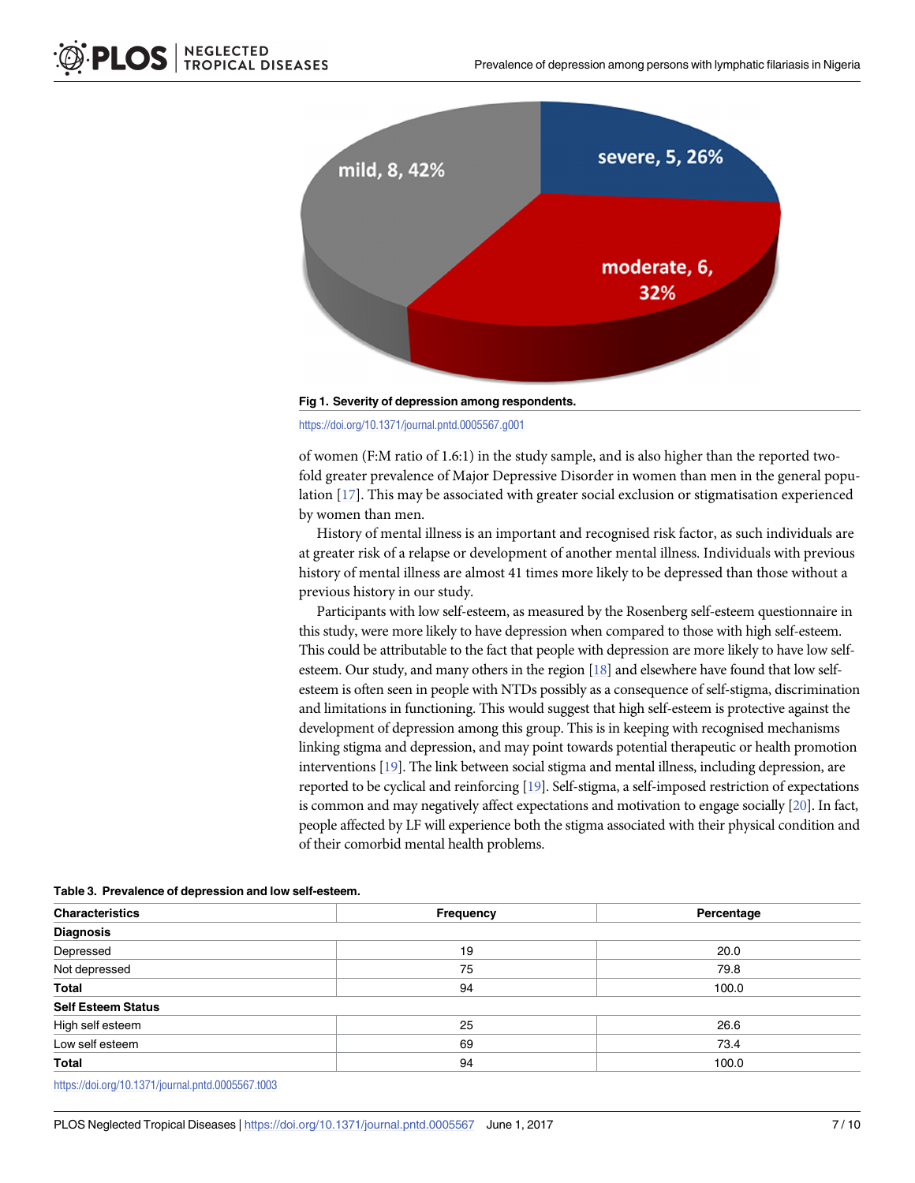<span id="page-6-0"></span>

**[Fig](#page-3-0) 1. Severity of depression among respondents.**

<https://doi.org/10.1371/journal.pntd.0005567.g001>

of women (F:M ratio of 1.6:1) in the study sample, and is also higher than the reported twofold greater prevalence of Major Depressive Disorder in women than men in the general population [[17](#page-9-0)]. This may be associated with greater social exclusion or stigmatisation experienced by women than men.

History of mental illness is an important and recognised risk factor, as such individuals are at greater risk of a relapse or development of another mental illness. Individuals with previous history of mental illness are almost 41 times more likely to be depressed than those without a previous history in our study.

Participants with low self-esteem, as measured by the Rosenberg self-esteem questionnaire in this study, were more likely to have depression when compared to those with high self-esteem. This could be attributable to the fact that people with depression are more likely to have low self-esteem. Our study, and many others in the region [\[18](#page-9-0)] and elsewhere have found that low selfesteem is often seen in people with NTDs possibly as a consequence of self-stigma, discrimination and limitations in functioning. This would suggest that high self-esteem is protective against the development of depression among this group. This is in keeping with recognised mechanisms linking stigma and depression, and may point towards potential therapeutic or health promotion interventions [\[19](#page-9-0)]. The link between social stigma and mental illness, including depression, are reported to be cyclical and reinforcing [\[19](#page-9-0)]. Self-stigma, a self-imposed restriction of expectations is common and may negatively affect expectations and motivation to engage socially [[20\]](#page-9-0). In fact, people affected by LF will experience both the stigma associated with their physical condition and of their comorbid mental health problems.

| Characteristics           | Frequency | Percentage |  |  |  |  |
|---------------------------|-----------|------------|--|--|--|--|
| <b>Diagnosis</b>          |           |            |  |  |  |  |
| Depressed                 | 19        | 20.0       |  |  |  |  |
| Not depressed             | 75        | 79.8       |  |  |  |  |
| Total                     | 94        | 100.0      |  |  |  |  |
| <b>Self Esteem Status</b> |           |            |  |  |  |  |
| High self esteem          | 25        | 26.6       |  |  |  |  |
| Low self esteem           | 69        | 73.4       |  |  |  |  |
| Total                     | 94        | 100.0      |  |  |  |  |
|                           |           |            |  |  |  |  |

**[Table](#page-3-0) 3. Prevalence of depression and low self-esteem.**

<https://doi.org/10.1371/journal.pntd.0005567.t003>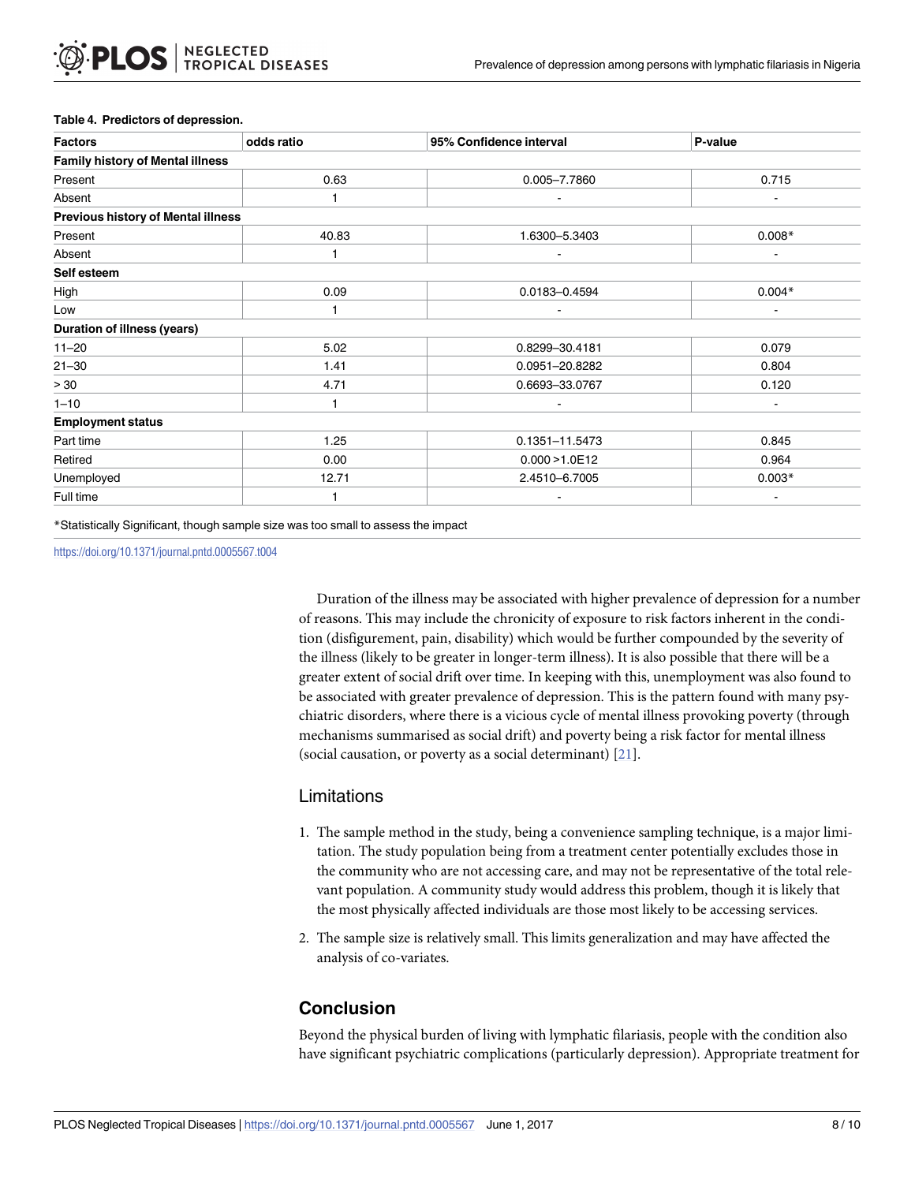| <b>Factors</b>                            | odds ratio | 95% Confidence interval | P-value  |
|-------------------------------------------|------------|-------------------------|----------|
| <b>Family history of Mental illness</b>   |            |                         |          |
| Present                                   | 0.63       | 0.005-7.7860            | 0.715    |
| Absent                                    |            |                         |          |
| <b>Previous history of Mental illness</b> |            |                         |          |
| Present                                   | 40.83      | 1.6300-5.3403           | $0.008*$ |
| Absent                                    |            |                         |          |
| Self esteem                               |            |                         |          |
| High                                      | 0.09       | 0.0183-0.4594           | $0.004*$ |
| Low                                       |            |                         |          |
| <b>Duration of illness (years)</b>        |            |                         |          |
| $11 - 20$                                 | 5.02       | 0.8299-30.4181          | 0.079    |
| $21 - 30$                                 | 1.41       | 0.0951-20.8282          | 0.804    |
| > 30                                      | 4.71       | 0.6693-33.0767          | 0.120    |
| $1 - 10$                                  |            |                         |          |
| <b>Employment status</b>                  |            |                         |          |
| Part time                                 | 1.25       | 0.1351-11.5473          | 0.845    |
| Retired                                   | 0.00       | 0.000 > 1.0E12          | 0.964    |
| Unemployed                                | 12.71      | 2.4510-6.7005           | $0.003*$ |
| Full time                                 |            |                         |          |

#### <span id="page-7-0"></span>**[Table](#page-3-0) 4. Predictors of depression.**

\*Statistically Significant, though sample size was too small to assess the impact

<https://doi.org/10.1371/journal.pntd.0005567.t004>

Duration of the illness may be associated with higher prevalence of depression for a number of reasons. This may include the chronicity of exposure to risk factors inherent in the condition (disfigurement, pain, disability) which would be further compounded by the severity of the illness (likely to be greater in longer-term illness). It is also possible that there will be a greater extent of social drift over time. In keeping with this, unemployment was also found to be associated with greater prevalence of depression. This is the pattern found with many psychiatric disorders, where there is a vicious cycle of mental illness provoking poverty (through mechanisms summarised as social drift) and poverty being a risk factor for mental illness (social causation, or poverty as a social determinant) [[21](#page-9-0)].

### Limitations

- 1. The sample method in the study, being a convenience sampling technique, is a major limitation. The study population being from a treatment center potentially excludes those in the community who are not accessing care, and may not be representative of the total relevant population. A community study would address this problem, though it is likely that the most physically affected individuals are those most likely to be accessing services.
- 2. The sample size is relatively small. This limits generalization and may have affected the analysis of co-variates.

# **Conclusion**

Beyond the physical burden of living with lymphatic filariasis, people with the condition also have significant psychiatric complications (particularly depression). Appropriate treatment for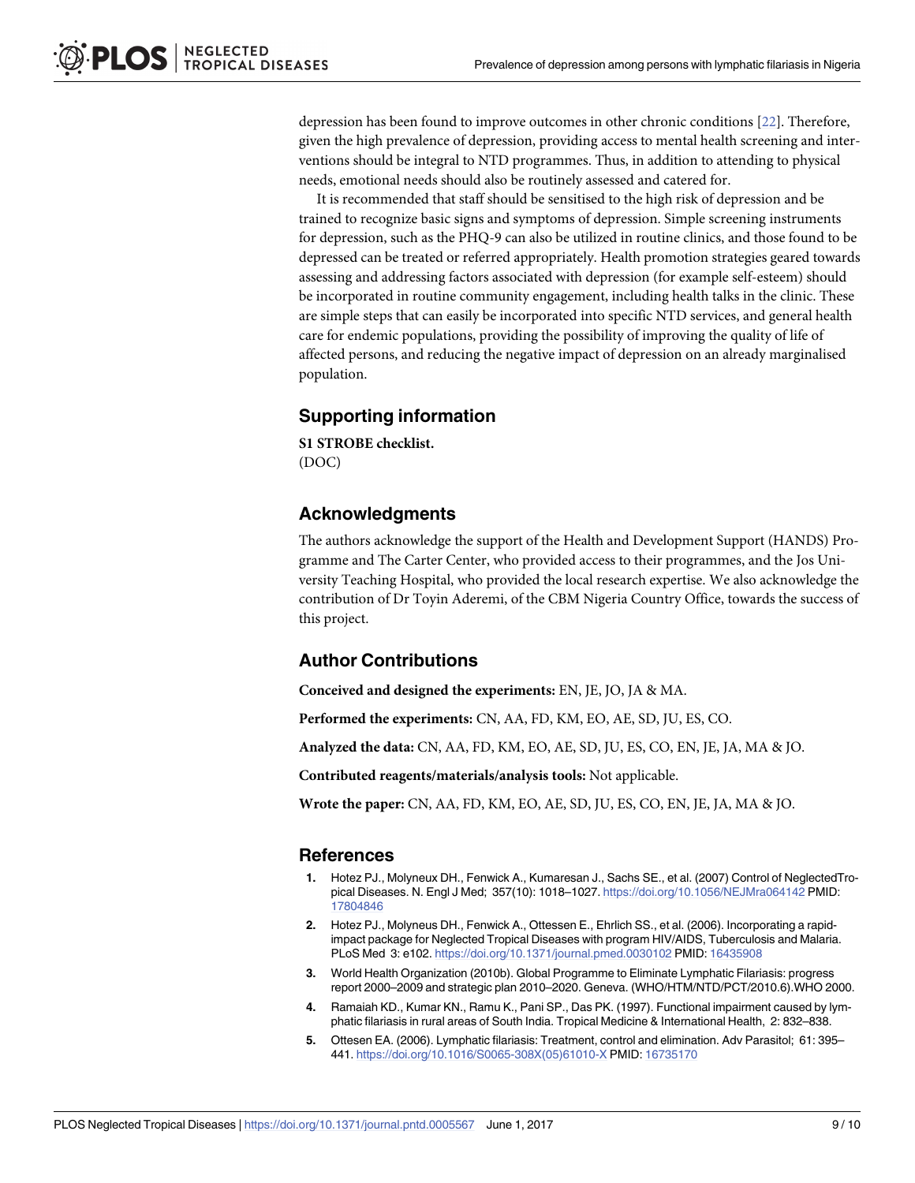<span id="page-8-0"></span>depression has been found to improve outcomes in other chronic conditions [[22](#page-9-0)]. Therefore, given the high prevalence of depression, providing access to mental health screening and interventions should be integral to NTD programmes. Thus, in addition to attending to physical needs, emotional needs should also be routinely assessed and catered for.

It is recommended that staff should be sensitised to the high risk of depression and be trained to recognize basic signs and symptoms of depression. Simple screening instruments for depression, such as the PHQ-9 can also be utilized in routine clinics, and those found to be depressed can be treated or referred appropriately. Health promotion strategies geared towards assessing and addressing factors associated with depression (for example self-esteem) should be incorporated in routine community engagement, including health talks in the clinic. These are simple steps that can easily be incorporated into specific NTD services, and general health care for endemic populations, providing the possibility of improving the quality of life of affected persons, and reducing the negative impact of depression on an already marginalised population.

### **Supporting information**

**S1 [STROBE](http://journals.plos.org/plosntds/article/asset?unique&id=info:doi/10.1371/journal.pntd.0005567.s001) checklist.** (DOC)

### **Acknowledgments**

The authors acknowledge the support of the Health and Development Support (HANDS) Programme and The Carter Center, who provided access to their programmes, and the Jos University Teaching Hospital, who provided the local research expertise. We also acknowledge the contribution of Dr Toyin Aderemi, of the CBM Nigeria Country Office, towards the success of this project.

# **Author Contributions**

**Conceived and designed the experiments:** EN, JE, JO, JA & MA.

**Performed the experiments:** CN, AA, FD, KM, EO, AE, SD, JU, ES, CO.

**Analyzed the data:** CN, AA, FD, KM, EO, AE, SD, JU, ES, CO, EN, JE, JA, MA & JO.

**Contributed reagents/materials/analysis tools:** Not applicable.

**Wrote the paper:** CN, AA, FD, KM, EO, AE, SD, JU, ES, CO, EN, JE, JA, MA & JO.

#### **References**

- **[1](#page-1-0).** Hotez PJ., Molyneux DH., Fenwick A., Kumaresan J., Sachs SE., et al. (2007) Control of NeglectedTropical Diseases. N. Engl J Med; 357(10): 1018–1027. <https://doi.org/10.1056/NEJMra064142> PMID: [17804846](http://www.ncbi.nlm.nih.gov/pubmed/17804846)
- **[2](#page-1-0).** Hotez PJ., Molyneus DH., Fenwick A., Ottessen E., Ehrlich SS., et al. (2006). Incorporating a rapidimpact package for Neglected Tropical Diseases with program HIV/AIDS, Tuberculosis and Malaria. PLoS Med 3: e102. <https://doi.org/10.1371/journal.pmed.0030102> PMID: [16435908](http://www.ncbi.nlm.nih.gov/pubmed/16435908)
- **[3](#page-1-0).** World Health Organization (2010b). Global Programme to Eliminate Lymphatic Filariasis: progress report 2000–2009 and strategic plan 2010–2020. Geneva. (WHO/HTM/NTD/PCT/2010.6).WHO 2000.
- **[4](#page-1-0).** Ramaiah KD., Kumar KN., Ramu K., Pani SP., Das PK. (1997). Functional impairment caused by lymphatic filariasis in rural areas of South India. Tropical Medicine & International Health, 2: 832–838.
- **[5](#page-1-0).** Ottesen EA. (2006). Lymphatic filariasis: Treatment, control and elimination. Adv Parasitol; 61: 395– 441. [https://doi.org/10.1016/S0065-308X\(05\)61010-X](https://doi.org/10.1016/S0065-308X(05)61010-X) PMID: [16735170](http://www.ncbi.nlm.nih.gov/pubmed/16735170)